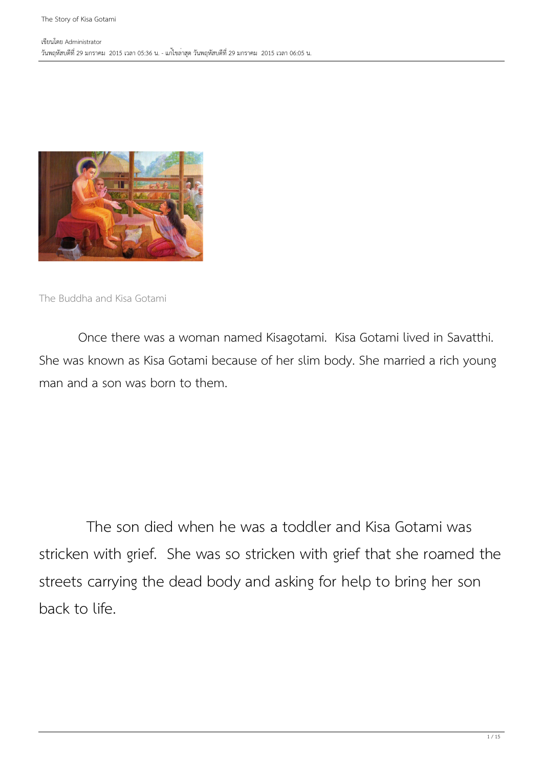

The Buddha and Kisa Gotami

 Once there was a woman named Kisagotami. Kisa Gotami lived in Savatthi. She was known as Kisa Gotami because of her slim body. She married a rich young man and a son was born to them.

 The son died when he was a toddler and Kisa Gotami was stricken with grief. She was so stricken with grief that she roamed the streets carrying the dead body and asking for help to bring her son back to life.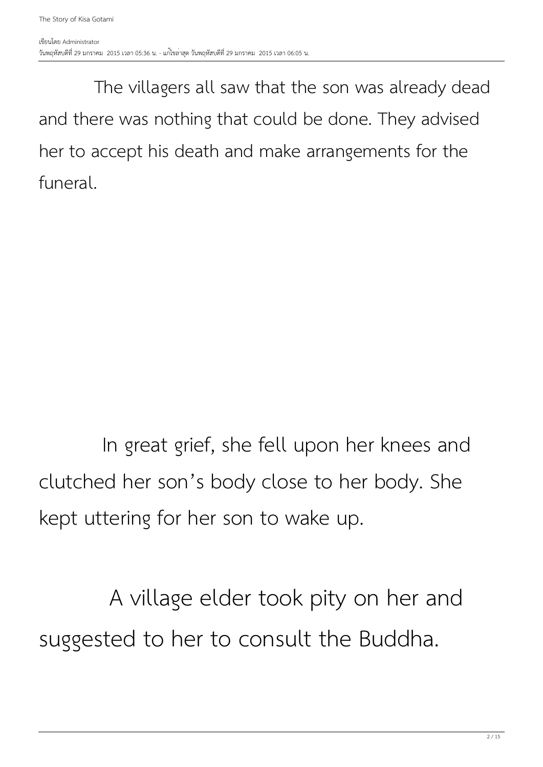The villagers all saw that the son was already dead and there was nothing that could be done. They advised her to accept his death and make arrangements for the funeral.

 In great grief, she fell upon her knees and clutched her son's body close to her body. She kept uttering for her son to wake up.

 A village elder took pity on her and suggested to her to consult the Buddha.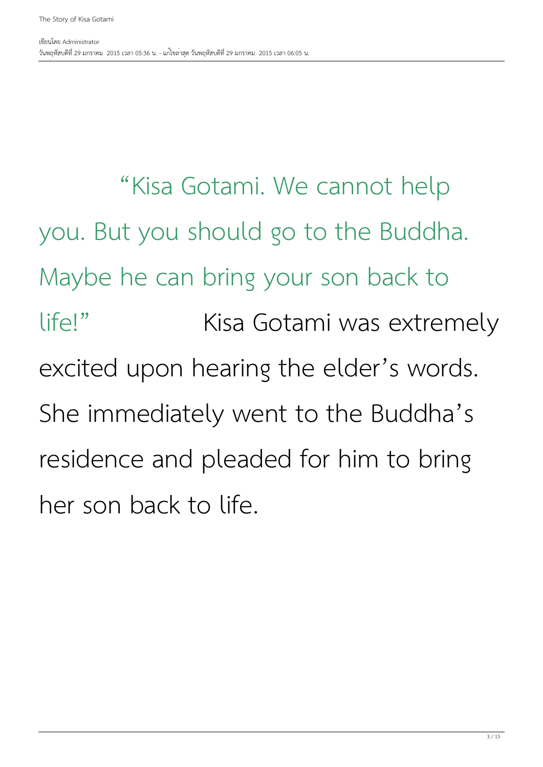"Kisa Gotami. We cannot help you. But you should go to the Buddha. Maybe he can bring your son back to life!" Kisa Gotami was extremely excited upon hearing the elder's words. She immediately went to the Buddha's residence and pleaded for him to bring her son back to life.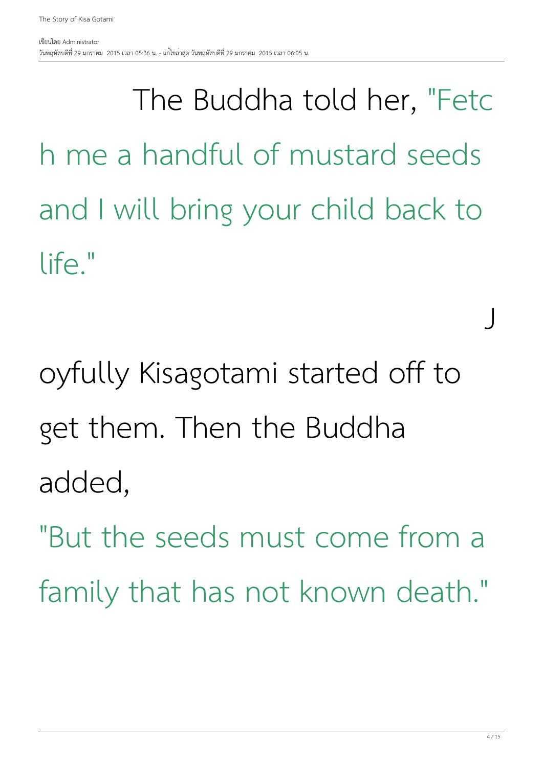The Buddha told her, "Fetc h me a handful of mustard seeds and I will bring your child back to life."

oyfully Kisagotami started off to get them. Then the Buddha added,

"But the seeds must come from a family that has not known death."

J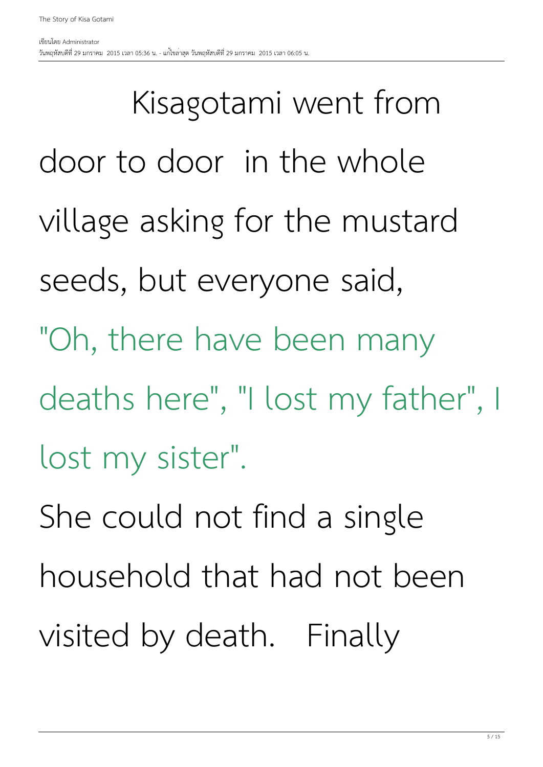Kisagotami went from door to door in the whole village asking for the mustard seeds, but everyone said, "Oh, there have been many deaths here", "I lost my father", I lost my sister". She could not find a single household that had not been visited by death. Finally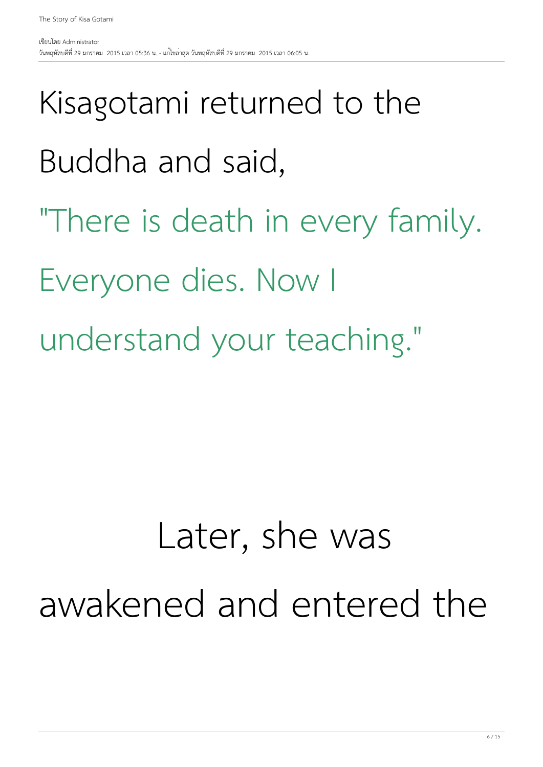Kisagotami returned to the Buddha and said, "There is death in every family. Everyone dies. Now I understand your teaching."

### Later, she was awakened and entered the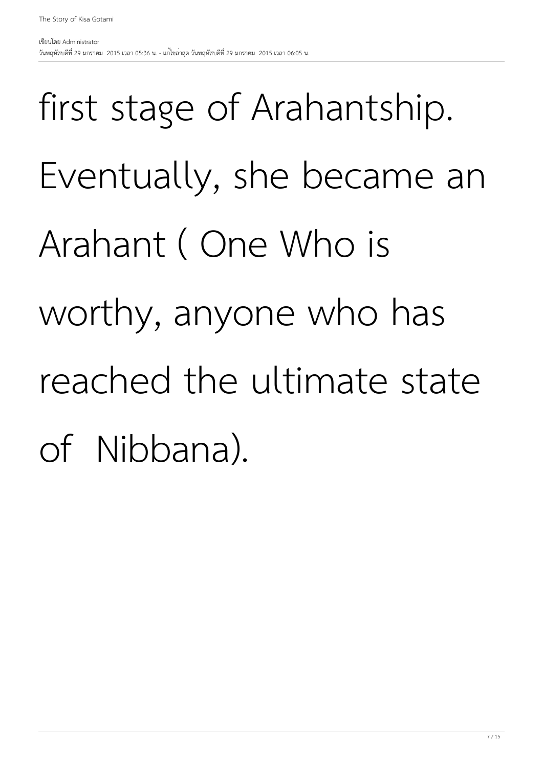### first stage of Arahantship. Eventually, she became an Arahant ( One Who is worthy, anyone who has reached the ultimate state of Nibbana).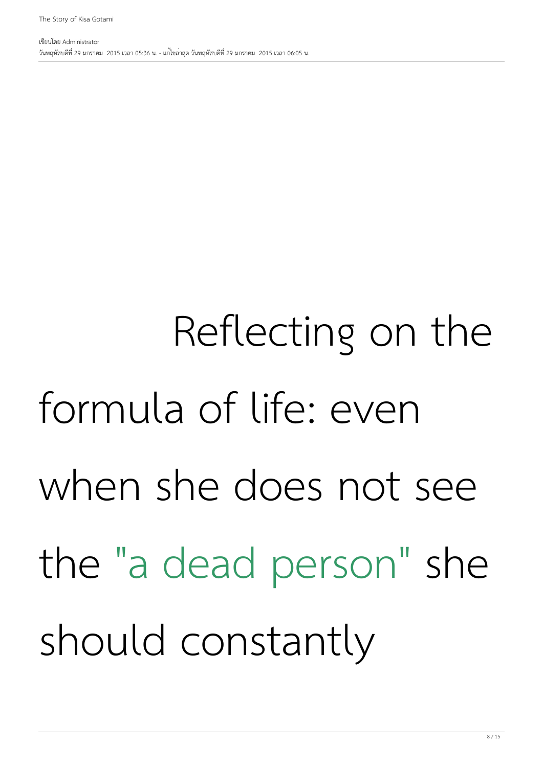Reflecting on the formula of life: even when she does not see the "a dead person" she should constantly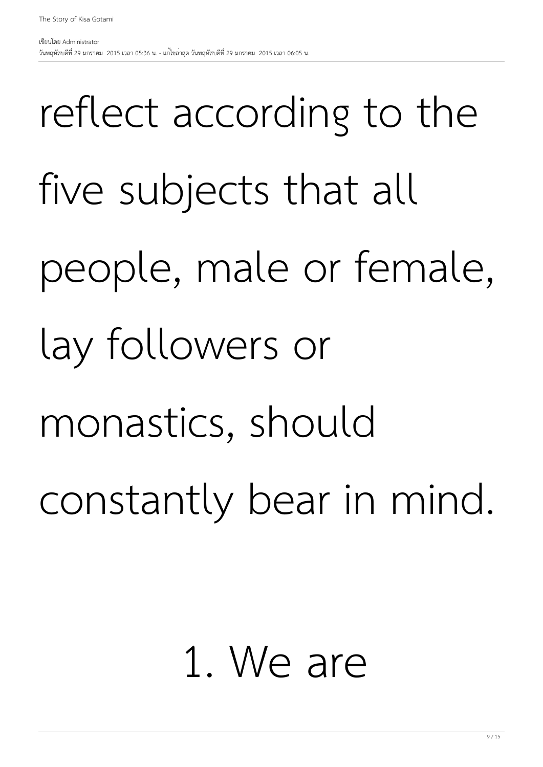เขียนโดย Administrator วันพฤหัสบดีที่ 29 มกราคม 2015 เวลา 05:36 น. - แก้ไขล่าสุด วันพฤหัสบดีที่ 29 มกราคม 2015 เวลา 06:05 น.

reflect according to the five subjects that all people, male or female, lay followers or monastics, should constantly bear in mind.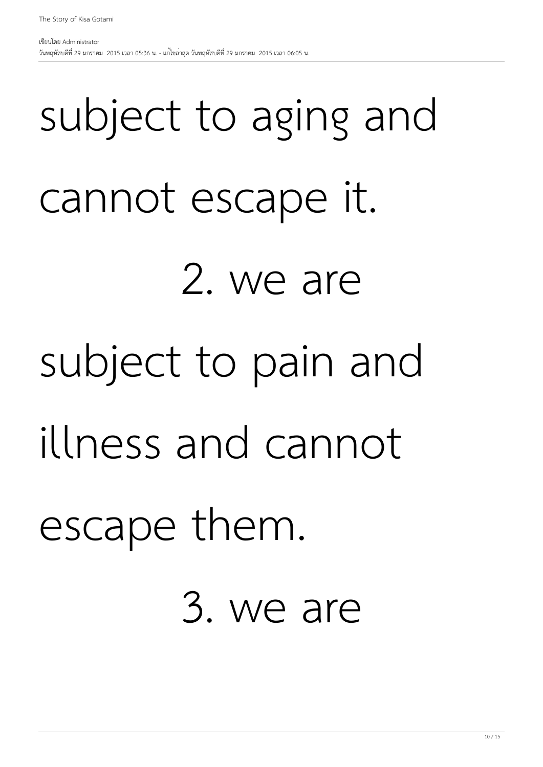วันพฤหัสบดีที่ 29 มกราคม 2015 เวลา 05:36 น. - แก้ไขล่าสุด วันพฤหัสบดีที่ 29 มกราคม 2015 เวลา 06:05 น.

เขียนโดย Administrator

## subject to aging and cannot escape it. 2. we are subject to pain and illness and cannot escape them. 3. we are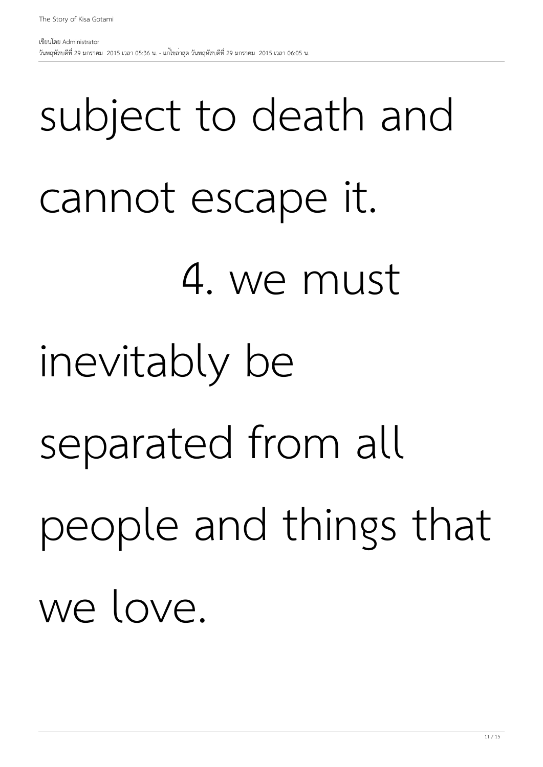### เขียนโดย Administrator วันพฤหัสบดีที่ 29 มกราคม 2015 เวลา 05:36 น. - แก้ไขล่าสุด วันพฤหัสบดีที่ 29 มกราคม 2015 เวลา 06:05 น.

## subject to death and cannot escape it. 4. we must inevitably be separated from all people and things that we love.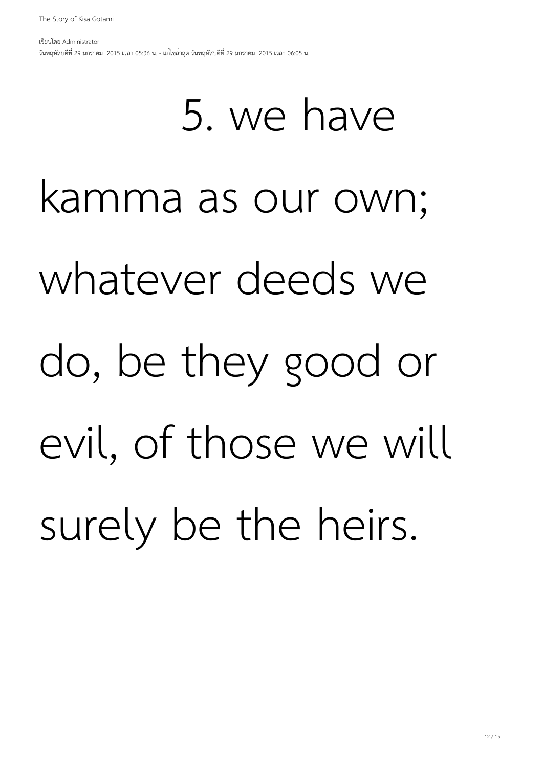surely be the heirs.

The Story of Kisa Gotami

12 / 15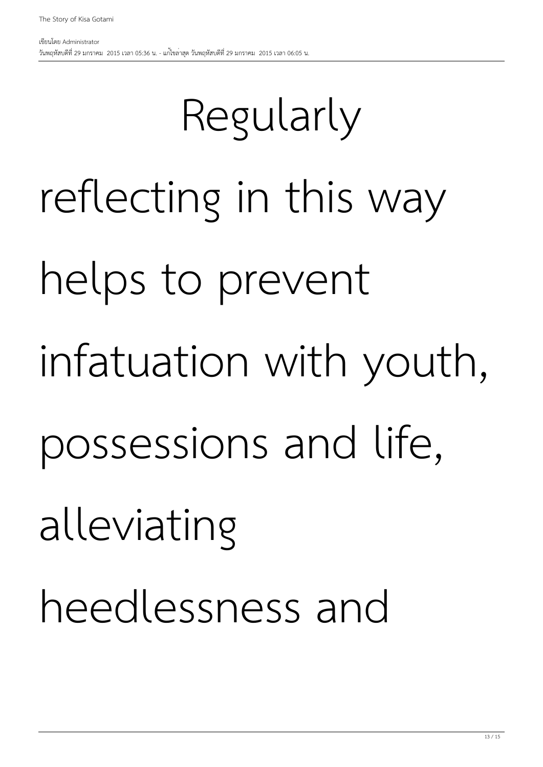# Regularly reflecting in this way helps to prevent infatuation with youth, possessions and life, alleviating heedlessness and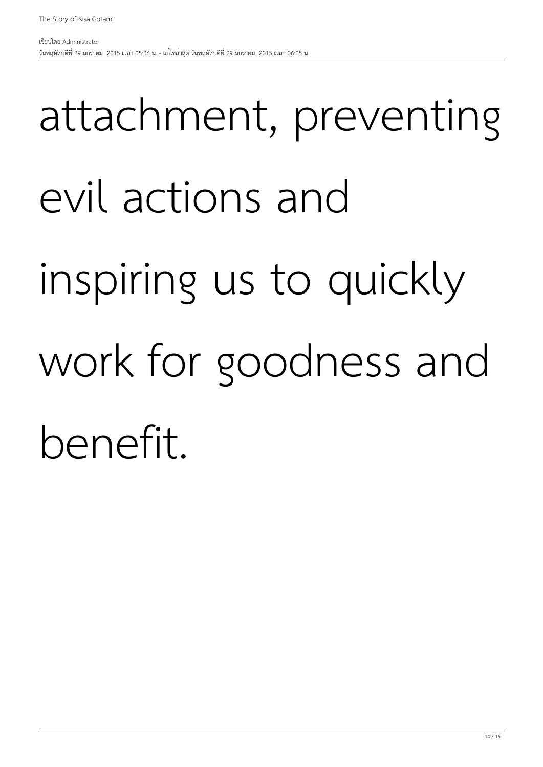วันพฤหัสบดีที่ 29 มกราคม 2015 เวลา 05:36 น. - แก้ไขล่าสุด วันพฤหัสบดีที่ 29 มกราคม 2015 เวลา 06:05 น.

เขียนโดย Administrator

### attachment, preventing evil actions and inspiring us to quickly work for goodness and benefit.